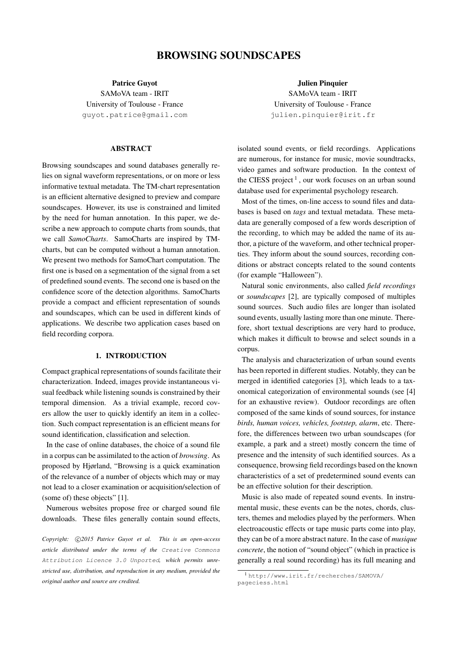# BROWSING SOUNDSCAPES

Patrice Guyot

SAMoVA team - IRIT University of Toulouse - France [guyot.patrice@gmail.com](mailto:guyot.patrice@gmail.com)

## ABSTRACT

Browsing soundscapes and sound databases generally relies on signal waveform representations, or on more or less informative textual metadata. The TM-chart representation is an efficient alternative designed to preview and compare soundscapes. However, its use is constrained and limited by the need for human annotation. In this paper, we describe a new approach to compute charts from sounds, that we call *SamoCharts*. SamoCharts are inspired by TMcharts, but can be computed without a human annotation. We present two methods for SamoChart computation. The first one is based on a segmentation of the signal from a set of predefined sound events. The second one is based on the confidence score of the detection algorithms. SamoCharts provide a compact and efficient representation of sounds and soundscapes, which can be used in different kinds of applications. We describe two application cases based on field recording corpora.

# 1. INTRODUCTION

Compact graphical representations of sounds facilitate their characterization. Indeed, images provide instantaneous visual feedback while listening sounds is constrained by their temporal dimension. As a trivial example, record covers allow the user to quickly identify an item in a collection. Such compact representation is an efficient means for sound identification, classification and selection.

In the case of online databases, the choice of a sound file in a corpus can be assimilated to the action of *browsing*. As proposed by Hjørland, "Browsing is a quick examination of the relevance of a number of objects which may or may not lead to a closer examination or acquisition/selection of (some of) these objects" [\[1\]](#page-6-0).

Numerous websites propose free or charged sound file downloads. These files generally contain sound effects,

Copyright:  $\bigcirc$ 2015 Patrice Guyot et al. This is an open-access *article distributed under the terms of the* [Creative Commons](http://creativecommons.org/licenses/by/3.0/) [Attribution Licence 3.0 Unported](http://creativecommons.org/licenses/by/3.0/)*, which permits unrestricted use, distribution, and reproduction in any medium, provided the original author and source are credited.*

Julien Pinquier SAMoVA team - IRIT University of Toulouse - France [julien.pinquier@irit.fr](mailto:julien.pinquier@irit.fr)

isolated sound events, or field recordings. Applications are numerous, for instance for music, movie soundtracks, video games and software production. In the context of the CIESS project<sup>[1](#page-0-0)</sup>, our work focuses on an urban sound database used for experimental psychology research.

Most of the times, on-line access to sound files and databases is based on *tags* and textual metadata. These metadata are generally composed of a few words description of the recording, to which may be added the name of its author, a picture of the waveform, and other technical properties. They inform about the sound sources, recording conditions or abstract concepts related to the sound contents (for example "Halloween").

Natural sonic environments, also called *field recordings* or *soundscapes* [\[2\]](#page-6-1), are typically composed of multiples sound sources. Such audio files are longer than isolated sound events, usually lasting more than one minute. Therefore, short textual descriptions are very hard to produce, which makes it difficult to browse and select sounds in a corpus.

The analysis and characterization of urban sound events has been reported in different studies. Notably, they can be merged in identified categories [\[3\]](#page-6-2), which leads to a taxonomical categorization of environmental sounds (see [\[4\]](#page-6-3) for an exhaustive review). Outdoor recordings are often composed of the same kinds of sound sources, for instance *birds, human voices, vehicles, footstep, alarm*, etc. Therefore, the differences between two urban soundscapes (for example, a park and a street) mostly concern the time of presence and the intensity of such identified sources. As a consequence, browsing field recordings based on the known characteristics of a set of predetermined sound events can be an effective solution for their description.

Music is also made of repeated sound events. In instrumental music, these events can be the notes, chords, clusters, themes and melodies played by the performers. When electroacoustic effects or tape music parts come into play, they can be of a more abstract nature. In the case of *musique concrete*, the notion of "sound object" (which in practice is generally a real sound recording) has its full meaning and

<span id="page-0-0"></span><sup>1</sup> [http://www.irit.fr/recherches/SAMOVA/](http://www.irit.fr/recherches/SAMOVA/pageciess.html) [pageciess.html](http://www.irit.fr/recherches/SAMOVA/pageciess.html)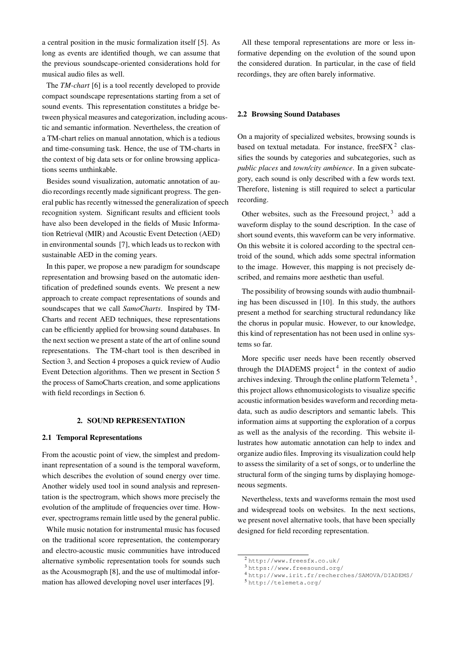a central position in the music formalization itself [\[5\]](#page-6-4). As long as events are identified though, we can assume that the previous soundscape-oriented considerations hold for musical audio files as well.

The *TM-chart* [\[6\]](#page-6-5) is a tool recently developed to provide compact soundscape representations starting from a set of sound events. This representation constitutes a bridge between physical measures and categorization, including acoustic and semantic information. Nevertheless, the creation of a TM-chart relies on manual annotation, which is a tedious and time-consuming task. Hence, the use of TM-charts in the context of big data sets or for online browsing applications seems unthinkable.

Besides sound visualization, automatic annotation of audio recordings recently made significant progress. The general public has recently witnessed the generalization of speech recognition system. Significant results and efficient tools have also been developed in the fields of Music Information Retrieval (MIR) and Acoustic Event Detection (AED) in environmental sounds [\[7\]](#page-6-6), which leads us to reckon with sustainable AED in the coming years.

In this paper, we propose a new paradigm for soundscape representation and browsing based on the automatic identification of predefined sounds events. We present a new approach to create compact representations of sounds and soundscapes that we call *SamoCharts*. Inspired by TM-Charts and recent AED techniques, these representations can be efficiently applied for browsing sound databases. In the next section we present a state of the art of online sound representations. The TM-chart tool is then described in Section 3, and Section 4 proposes a quick review of Audio Event Detection algorithms. Then we present in Section 5 the process of SamoCharts creation, and some applications with field recordings in Section 6.

## 2. SOUND REPRESENTATION

#### 2.1 Temporal Representations

From the acoustic point of view, the simplest and predominant representation of a sound is the temporal waveform, which describes the evolution of sound energy over time. Another widely used tool in sound analysis and representation is the spectrogram, which shows more precisely the evolution of the amplitude of frequencies over time. However, spectrograms remain little used by the general public.

While music notation for instrumental music has focused on the traditional score representation, the contemporary and electro-acoustic music communities have introduced alternative symbolic representation tools for sounds such as the Acousmograph [\[8\]](#page-6-7), and the use of multimodal information has allowed developing novel user interfaces [\[9\]](#page-6-8).

All these temporal representations are more or less informative depending on the evolution of the sound upon the considered duration. In particular, in the case of field recordings, they are often barely informative.

# 2.2 Browsing Sound Databases

On a majority of specialized websites, browsing sounds is based on textual metadata. For instance, free SFX $2$  classifies the sounds by categories and subcategories, such as *public places* and *town/city ambience*. In a given subcategory, each sound is only described with a few words text. Therefore, listening is still required to select a particular recording.

Other websites, such as the Freesound project,  $3$  add a waveform display to the sound description. In the case of short sound events, this waveform can be very informative. On this website it is colored according to the spectral centroid of the sound, which adds some spectral information to the image. However, this mapping is not precisely described, and remains more aesthetic than useful.

The possibility of browsing sounds with audio thumbnailing has been discussed in [\[10\]](#page-6-9). In this study, the authors present a method for searching structural redundancy like the chorus in popular music. However, to our knowledge, this kind of representation has not been used in online systems so far.

More specific user needs have been recently observed through the DIADEMS project<sup>[4](#page-1-2)</sup> in the context of audio archives indexing. Through the online platform Telemeta<sup>[5](#page-1-3)</sup>, this project allows ethnomusicologists to visualize specific acoustic information besides waveform and recording metadata, such as audio descriptors and semantic labels. This information aims at supporting the exploration of a corpus as well as the analysis of the recording. This website illustrates how automatic annotation can help to index and organize audio files. Improving its visualization could help to assess the similarity of a set of songs, or to underline the structural form of the singing turns by displaying homogeneous segments.

Nevertheless, texts and waveforms remain the most used and widespread tools on websites. In the next sections, we present novel alternative tools, that have been specially designed for field recording representation.

<span id="page-1-0"></span><sup>2</sup> <http://www.freesfx.co.uk/>

<span id="page-1-1"></span><sup>3</sup> <https://www.freesound.org/>

<span id="page-1-2"></span><sup>4</sup> <http://www.irit.fr/recherches/SAMOVA/DIADEMS/>

<span id="page-1-3"></span><sup>5</sup> <http://telemeta.org/>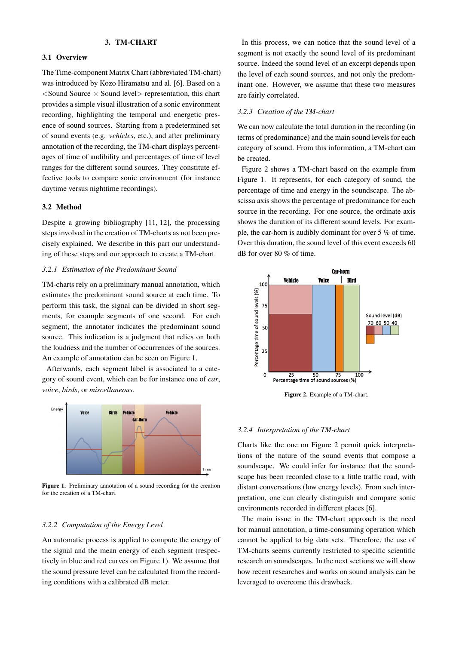# 3. TM-CHART

## 3.1 Overview

The Time-component Matrix Chart (abbreviated TM-chart) was introduced by Kozo Hiramatsu and al. [\[6\]](#page-6-5). Based on a  $\le$ Sound Source  $\times$  Sound level $>$  representation, this chart provides a simple visual illustration of a sonic environment recording, highlighting the temporal and energetic presence of sound sources. Starting from a predetermined set of sound events (e.g. *vehicles*, etc.), and after preliminary annotation of the recording, the TM-chart displays percentages of time of audibility and percentages of time of level ranges for the different sound sources. They constitute effective tools to compare sonic environment (for instance daytime versus nighttime recordings).

## 3.2 Method

Despite a growing bibliography [\[11,](#page-6-10) [12\]](#page-6-11), the processing steps involved in the creation of TM-charts as not been precisely explained. We describe in this part our understanding of these steps and our approach to create a TM-chart.

## *3.2.1 Estimation of the Predominant Sound*

TM-charts rely on a preliminary manual annotation, which estimates the predominant sound source at each time. To perform this task, the signal can be divided in short segments, for example segments of one second. For each segment, the annotator indicates the predominant sound source. This indication is a judgment that relies on both the loudness and the number of occurrences of the sources. An example of annotation can be seen on Figure [1.](#page-2-0)

Afterwards, each segment label is associated to a category of sound event, which can be for instance one of *car*, *voice*, *birds*, or *miscellaneous*.

<span id="page-2-0"></span>

Figure 1. Preliminary annotation of a sound recording for the creation for the creation of a TM-chart.

# *3.2.2 Computation of the Energy Level*

An automatic process is applied to compute the energy of the signal and the mean energy of each segment (respectively in blue and red curves on Figure [1\)](#page-2-0). We assume that the sound pressure level can be calculated from the recording conditions with a calibrated dB meter.

In this process, we can notice that the sound level of a segment is not exactly the sound level of its predominant source. Indeed the sound level of an excerpt depends upon the level of each sound sources, and not only the predominant one. However, we assume that these two measures are fairly correlated.

#### *3.2.3 Creation of the TM-chart*

We can now calculate the total duration in the recording (in terms of predominance) and the main sound levels for each category of sound. From this information, a TM-chart can be created.

Figure [2](#page-2-1) shows a TM-chart based on the example from Figure [1.](#page-2-0) It represents, for each category of sound, the percentage of time and energy in the soundscape. The abscissa axis shows the percentage of predominance for each source in the recording. For one source, the ordinate axis shows the duration of its different sound levels. For example, the car-horn is audibly dominant for over 5 % of time. Over this duration, the sound level of this event exceeds 60 dB for over 80 % of time.

<span id="page-2-1"></span>

Figure 2. Example of a TM-chart.

#### *3.2.4 Interpretation of the TM-chart*

Charts like the one on Figure [2](#page-2-1) permit quick interpretations of the nature of the sound events that compose a soundscape. We could infer for instance that the soundscape has been recorded close to a little traffic road, with distant conversations (low energy levels). From such interpretation, one can clearly distinguish and compare sonic environments recorded in different places [\[6\]](#page-6-5).

The main issue in the TM-chart approach is the need for manual annotation, a time-consuming operation which cannot be applied to big data sets. Therefore, the use of TM-charts seems currently restricted to specific scientific research on soundscapes. In the next sections we will show how recent researches and works on sound analysis can be leveraged to overcome this drawback.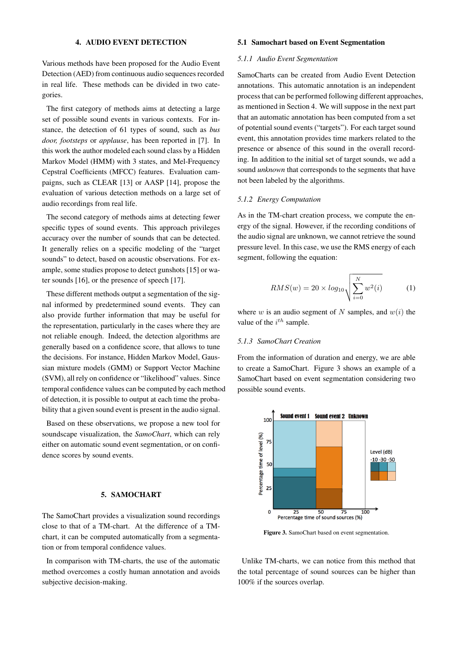# 4. AUDIO EVENT DETECTION

<span id="page-3-0"></span>Various methods have been proposed for the Audio Event Detection (AED) from continuous audio sequences recorded in real life. These methods can be divided in two categories.

The first category of methods aims at detecting a large set of possible sound events in various contexts. For instance, the detection of 61 types of sound, such as *bus door, footsteps* or *applause*, has been reported in [\[7\]](#page-6-6). In this work the author modeled each sound class by a Hidden Markov Model (HMM) with 3 states, and Mel-Frequency Cepstral Coefficients (MFCC) features. Evaluation campaigns, such as CLEAR [\[13\]](#page-6-12) or AASP [\[14\]](#page-6-13), propose the evaluation of various detection methods on a large set of audio recordings from real life.

The second category of methods aims at detecting fewer specific types of sound events. This approach privileges accuracy over the number of sounds that can be detected. It generally relies on a specific modeling of the "target sounds" to detect, based on acoustic observations. For example, some studies propose to detect gunshots [\[15\]](#page-6-14) or water sounds [\[16\]](#page-7-0), or the presence of speech [\[17\]](#page-7-1).

These different methods output a segmentation of the signal informed by predetermined sound events. They can also provide further information that may be useful for the representation, particularly in the cases where they are not reliable enough. Indeed, the detection algorithms are generally based on a confidence score, that allows to tune the decisions. For instance, Hidden Markov Model, Gaussian mixture models (GMM) or Support Vector Machine (SVM), all rely on confidence or "likelihood" values. Since temporal confidence values can be computed by each method of detection, it is possible to output at each time the probability that a given sound event is present in the audio signal.

Based on these observations, we propose a new tool for soundscape visualization, the *SamoChart*, which can rely either on automatic sound event segmentation, or on confidence scores by sound events.

## 5. SAMOCHART

The SamoChart provides a visualization sound recordings close to that of a TM-chart. At the difference of a TMchart, it can be computed automatically from a segmentation or from temporal confidence values.

In comparison with TM-charts, the use of the automatic method overcomes a costly human annotation and avoids subjective decision-making.

## 5.1 Samochart based on Event Segmentation

## *5.1.1 Audio Event Segmentation*

SamoCharts can be created from Audio Event Detection annotations. This automatic annotation is an independent process that can be performed following different approaches, as mentioned in Section [4.](#page-3-0) We will suppose in the next part that an automatic annotation has been computed from a set of potential sound events ("targets"). For each target sound event, this annotation provides time markers related to the presence or absence of this sound in the overall recording. In addition to the initial set of target sounds, we add a sound *unknown* that corresponds to the segments that have not been labeled by the algorithms.

#### *5.1.2 Energy Computation*

As in the TM-chart creation process, we compute the energy of the signal. However, if the recording conditions of the audio signal are unknown, we cannot retrieve the sound pressure level. In this case, we use the RMS energy of each segment, following the equation:

$$
RMS(w) = 20 \times log_{10} \sqrt{\sum_{i=0}^{N} w^{2}(i)}
$$
 (1)

where w is an audio segment of N samples, and  $w(i)$  the value of the  $i^{th}$  sample.

## *5.1.3 SamoChart Creation*

From the information of duration and energy, we are able to create a SamoChart. Figure [3](#page-3-1) shows an example of a SamoChart based on event segmentation considering two possible sound events.

<span id="page-3-1"></span>

Figure 3. SamoChart based on event segmentation.

Unlike TM-charts, we can notice from this method that the total percentage of sound sources can be higher than 100% if the sources overlap.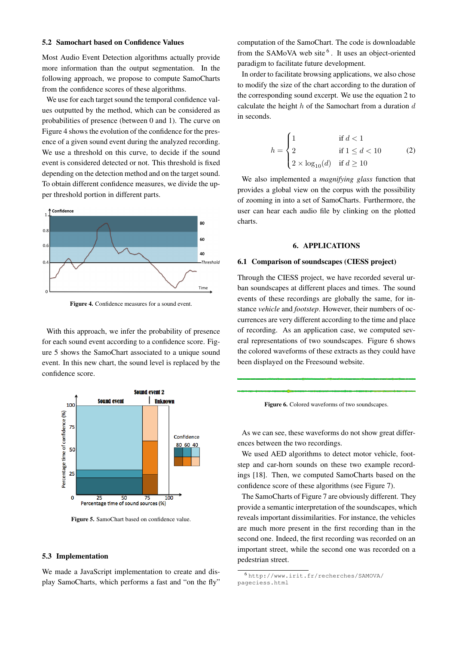#### 5.2 Samochart based on Confidence Values

Most Audio Event Detection algorithms actually provide more information than the output segmentation. In the following approach, we propose to compute SamoCharts from the confidence scores of these algorithms.

We use for each target sound the temporal confidence values outputted by the method, which can be considered as probabilities of presence (between 0 and 1). The curve on Figure [4](#page-4-0) shows the evolution of the confidence for the presence of a given sound event during the analyzed recording. We use a threshold on this curve, to decide if the sound event is considered detected or not. This threshold is fixed depending on the detection method and on the target sound. To obtain different confidence measures, we divide the upper threshold portion in different parts.

<span id="page-4-0"></span>

Figure 4. Confidence measures for a sound event.

With this approach, we infer the probability of presence for each sound event according to a confidence score. Figure [5](#page-4-1) shows the SamoChart associated to a unique sound event. In this new chart, the sound level is replaced by the confidence score.

<span id="page-4-1"></span>

Figure 5. SamoChart based on confidence value.

#### 5.3 Implementation

We made a JavaScript implementation to create and display SamoCharts, which performs a fast and "on the fly" computation of the SamoChart. The code is downloadable from the SAMoVA web site<sup>[6](#page-4-2)</sup>. It uses an object-oriented paradigm to facilitate future development.

In order to facilitate browsing applications, we also chose to modify the size of the chart according to the duration of the corresponding sound excerpt. We use the equation [2](#page-4-3) to calculate the height  $h$  of the Samochart from a duration  $d$ in seconds.

<span id="page-4-3"></span>
$$
h = \begin{cases} 1 & \text{if } d < 1 \\ 2 & \text{if } 1 \le d < 10 \\ 2 \times \log_{10}(d) & \text{if } d \ge 10 \end{cases} \tag{2}
$$

We also implemented a *magnifying glass* function that provides a global view on the corpus with the possibility of zooming in into a set of SamoCharts. Furthermore, the user can hear each audio file by clinking on the plotted charts.

#### 6. APPLICATIONS

#### 6.1 Comparison of soundscapes (CIESS project)

Through the CIESS project, we have recorded several urban soundscapes at different places and times. The sound events of these recordings are globally the same, for instance *vehicle* and *footstep*. However, their numbers of occurrences are very different according to the time and place of recording. As an application case, we computed several representations of two soundscapes. Figure [6](#page-4-4) shows the colored waveforms of these extracts as they could have been displayed on the Freesound website.

<span id="page-4-4"></span>Figure 6. Colored waveforms of two soundscapes.

As we can see, these waveforms do not show great differences between the two recordings.

We used AED algorithms to detect motor vehicle, footstep and car-horn sounds on these two example recordings [\[18\]](#page-7-2). Then, we computed SamoCharts based on the confidence score of these algorithms (see Figure [7\)](#page-5-0).

The SamoCharts of Figure [7](#page-5-0) are obviously different. They provide a semantic interpretation of the soundscapes, which reveals important dissimilarities. For instance, the vehicles are much more present in the first recording than in the second one. Indeed, the first recording was recorded on an important street, while the second one was recorded on a pedestrian street.

<span id="page-4-2"></span><sup>6</sup> [http://www.irit.fr/recherches/SAMOVA/](http://www.irit.fr/recherches/SAMOVA/pageciess.html) [pageciess.html](http://www.irit.fr/recherches/SAMOVA/pageciess.html)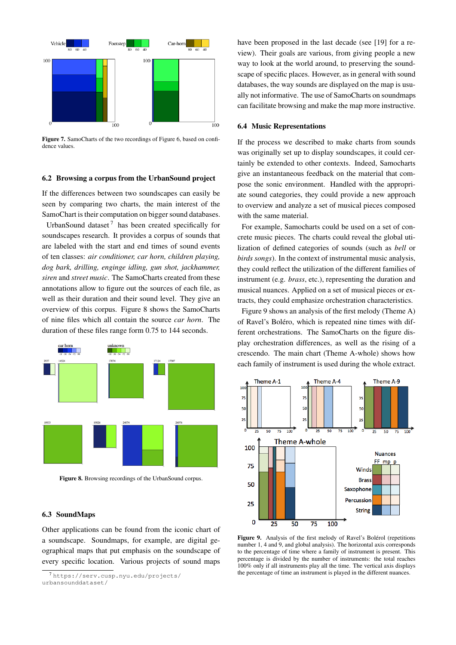<span id="page-5-0"></span>

Figure 7. SamoCharts of the two recordings of Figure [6,](#page-4-4) based on confidence values.

## 6.2 Browsing a corpus from the UrbanSound project

If the differences between two soundscapes can easily be seen by comparing two charts, the main interest of the SamoChart is their computation on bigger sound databases.

UrbanSound dataset<sup>[7](#page-5-1)</sup> has been created specifically for soundscapes research. It provides a corpus of sounds that are labeled with the start and end times of sound events of ten classes: *air conditioner, car horn, children playing, dog bark, drilling, enginge idling, gun shot, jackhammer, siren* and *street music*. The SamoCharts created from these annotations allow to figure out the sources of each file, as well as their duration and their sound level. They give an overview of this corpus. Figure [8](#page-5-2) shows the SamoCharts of nine files which all contain the source *car horn*. The duration of these files range form 0.75 to 144 seconds.

<span id="page-5-2"></span>

Figure 8. Browsing recordings of the UrbanSound corpus.

## 6.3 SoundMaps

Other applications can be found from the iconic chart of a soundscape. Soundmaps, for example, are digital geographical maps that put emphasis on the soundscape of every specific location. Various projects of sound maps have been proposed in the last decade (see [\[19\]](#page-7-3) for a review). Their goals are various, from giving people a new way to look at the world around, to preserving the soundscape of specific places. However, as in general with sound databases, the way sounds are displayed on the map is usually not informative. The use of SamoCharts on soundmaps can facilitate browsing and make the map more instructive.

#### 6.4 Music Representations

If the process we described to make charts from sounds was originally set up to display soundscapes, it could certainly be extended to other contexts. Indeed, Samocharts give an instantaneous feedback on the material that compose the sonic environment. Handled with the appropriate sound categories, they could provide a new approach to overview and analyze a set of musical pieces composed with the same material.

For example, Samocharts could be used on a set of concrete music pieces. The charts could reveal the global utilization of defined categories of sounds (such as *bell* or *birds songs*). In the context of instrumental music analysis, they could reflect the utilization of the different families of instrument (e.g. *brass*, etc.), representing the duration and musical nuances. Applied on a set of musical pieces or extracts, they could emphasize orchestration characteristics.

Figure [9](#page-5-3) shows an analysis of the first melody (Theme A) of Ravel's Boléro, which is repeated nine times with different orchestrations. The SamoCharts on the figure display orchestration differences, as well as the rising of a crescendo. The main chart (Theme A-whole) shows how each family of instrument is used during the whole extract.

<span id="page-5-3"></span>

Figure 9. Analysis of the first melody of Ravel's Bolérol (repetitions number 1, 4 and 9, and global analysis). The horizontal axis corresponds to the percentage of time where a family of instrument is present. This percentage is divided by the number of instruments: the total reaches 100% only if all instruments play all the time. The vertical axis displays the percentage of time an instrument is played in the different nuances.

<span id="page-5-1"></span><sup>7</sup> [https://serv.cusp.nyu.edu/projects/](https://serv.cusp.nyu.edu/projects/urbansounddataset/) [urbansounddataset/](https://serv.cusp.nyu.edu/projects/urbansounddataset/)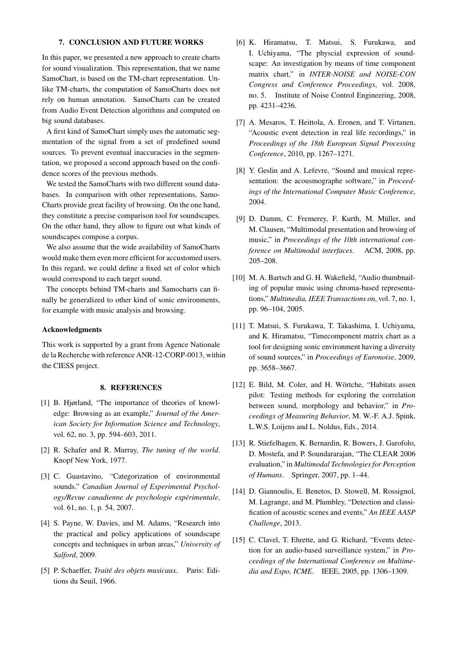## 7. CONCLUSION AND FUTURE WORKS

In this paper, we presented a new approach to create charts for sound visualization. This representation, that we name SamoChart, is based on the TM-chart representation. Unlike TM-charts, the computation of SamoCharts does not rely on human annotation. SamoCharts can be created from Audio Event Detection algorithms and computed on big sound databases.

A first kind of SamoChart simply uses the automatic segmentation of the signal from a set of predefined sound sources. To prevent eventual inaccuracies in the segmentation, we proposed a second approach based on the confidence scores of the previous methods.

We tested the SamoCharts with two different sound databases. In comparison with other representations, Samo-Charts provide great facility of browsing. On the one hand, they constitute a precise comparison tool for soundscapes. On the other hand, they allow to figure out what kinds of soundscapes compose a corpus.

We also assume that the wide availability of SamoCharts would make them even more efficient for accustomed users. In this regard, we could define a fixed set of color which would correspond to each target sound.

The concepts behind TM-charts and Samocharts can finally be generalized to other kind of sonic environments, for example with music analysis and browsing.

#### Acknowledgments

This work is supported by a grant from Agence Nationale de la Recherche with reference ANR-12-CORP-0013, within the CIESS project.

#### 8. REFERENCES

- <span id="page-6-0"></span>[1] B. Hjørland, "The importance of theories of knowledge: Browsing as an example," *Journal of the American Society for Information Science and Technology*, vol. 62, no. 3, pp. 594–603, 2011.
- <span id="page-6-1"></span>[2] R. Schafer and R. Murray, *The tuning of the world*. Knopf New York, 1977.
- <span id="page-6-2"></span>[3] C. Guastavino, "Categorization of environmental sounds." *Canadian Journal of Experimental Psychology/Revue canadienne de psychologie experimentale ´* , vol. 61, no. 1, p. 54, 2007.
- <span id="page-6-3"></span>[4] S. Payne, W. Davies, and M. Adams, "Research into the practical and policy applications of soundscape concepts and techniques in urban areas," *University of Salford*, 2009.
- <span id="page-6-4"></span>[5] P. Schaeffer, *Traité des objets musicaux*. Paris: Editions du Seuil, 1966.
- <span id="page-6-5"></span>[6] K. Hiramatsu, T. Matsui, S. Furukawa, and I. Uchiyama, "The physcial expression of soundscape: An investigation by means of time component matrix chart," in *INTER-NOISE and NOISE-CON Congress and Conference Proceedings*, vol. 2008, no. 5. Institute of Noise Control Engineering, 2008, pp. 4231–4236.
- <span id="page-6-6"></span>[7] A. Mesaros, T. Heittola, A. Eronen, and T. Virtanen, "Acoustic event detection in real life recordings," in *Proceedings of the 18th European Signal Processing Conference*, 2010, pp. 1267–1271.
- <span id="page-6-7"></span>[8] Y. Geslin and A. Lefevre, "Sound and musical representation: the acousmographe software," in *Proceedings of the International Computer Music Conference*, 2004.
- <span id="page-6-8"></span>[9] D. Damm, C. Fremerey, F. Kurth, M. Müller, and M. Clausen, "Multimodal presentation and browsing of music," in *Proceedings of the 10th international conference on Multimodal interfaces*. ACM, 2008, pp. 205–208.
- <span id="page-6-9"></span>[10] M. A. Bartsch and G. H. Wakefield, "Audio thumbnailing of popular music using chroma-based representations," *Multimedia, IEEE Transactions on*, vol. 7, no. 1, pp. 96–104, 2005.
- <span id="page-6-10"></span>[11] T. Matsui, S. Furukawa, T. Takashima, I. Uchiyama, and K. Hiramatsu, "Timecomponent matrix chart as a tool for designing sonic environment having a diversity of sound sources," in *Proceedings of Euronoise*, 2009, pp. 3658–3667.
- <span id="page-6-11"></span>[12] E. Bild, M. Coler, and H. Wörtche, "Habitats assen pilot: Testing methods for exploring the correlation between sound, morphology and behavior," in *Proceedings of Measuring Behavior*, M. W.-F. A.J. Spink, L.W.S. Loijens and L. Noldus, Eds., 2014.
- <span id="page-6-12"></span>[13] R. Stiefelhagen, K. Bernardin, R. Bowers, J. Garofolo, D. Mostefa, and P. Soundararajan, "The CLEAR 2006 evaluation," in *Multimodal Technologies for Perception of Humans*. Springer, 2007, pp. 1–44.
- <span id="page-6-13"></span>[14] D. Giannoulis, E. Benetos, D. Stowell, M. Rossignol, M. Lagrange, and M. Plumbley, "Detection and classification of acoustic scenes and events," *An IEEE AASP Challenge*, 2013.
- <span id="page-6-14"></span>[15] C. Clavel, T. Ehrette, and G. Richard, "Events detection for an audio-based surveillance system," in *Proceedings of the International Conference on Multimedia and Expo, ICME*. IEEE, 2005, pp. 1306–1309.